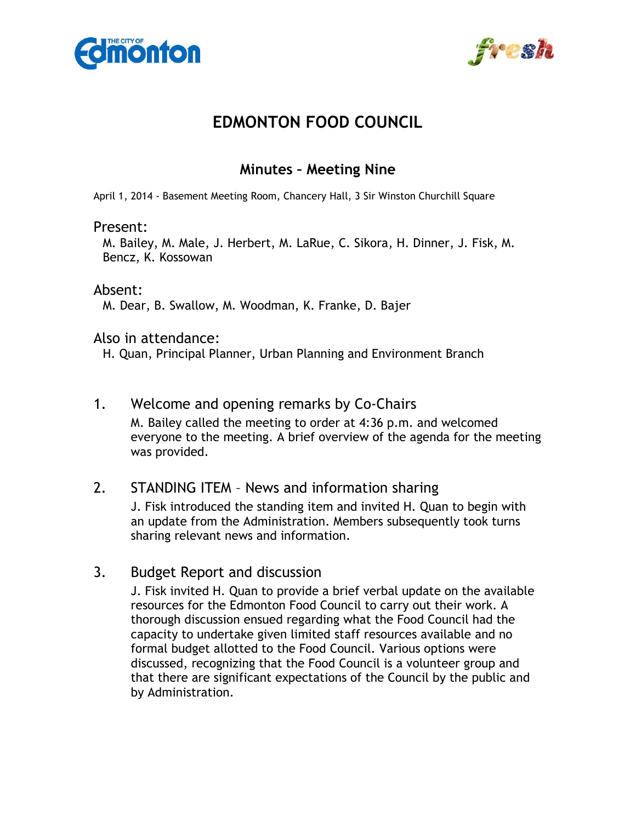



# **EDMONTON FOOD COUNCIL**

## **Minutes – Meeting Nine**

April 1, 2014 - Basement Meeting Room, Chancery Hall, 3 Sir Winston Churchill Square

#### Present:

M. Bailey, M. Male, J. Herbert, M. LaRue, C. Sikora, H. Dinner, J. Fisk, M. Bencz, K. Kossowan

#### Absent:

M. Dear, B. Swallow, M. Woodman, K. Franke, D. Bajer

#### Also in attendance:

H. Quan, Principal Planner, Urban Planning and Environment Branch

### 1. Welcome and opening remarks by Co-Chairs

M. Bailey called the meeting to order at 4:36 p.m. and welcomed everyone to the meeting. A brief overview of the agenda for the meeting was provided.

## 2. STANDING ITEM – News and information sharing

J. Fisk introduced the standing item and invited H. Quan to begin with an update from the Administration. Members subsequently took turns sharing relevant news and information.

#### 3. Budget Report and discussion

J. Fisk invited H. Quan to provide a brief verbal update on the available resources for the Edmonton Food Council to carry out their work. A thorough discussion ensued regarding what the Food Council had the capacity to undertake given limited staff resources available and no formal budget allotted to the Food Council. Various options were discussed, recognizing that the Food Council is a volunteer group and that there are significant expectations of the Council by the public and by Administration.